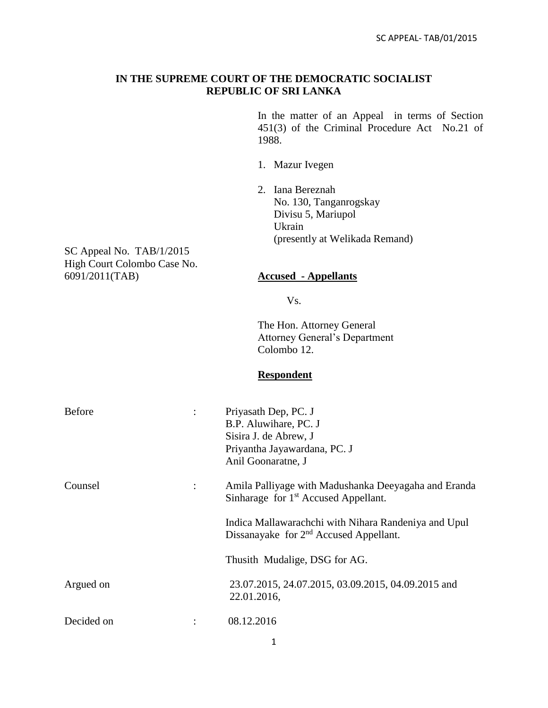## **IN THE SUPREME COURT OF THE DEMOCRATIC SOCIALIST REPUBLIC OF SRI LANKA**

In the matter of an Appeal in terms of Section 451(3) of the Criminal Procedure Act No.21 of 1988.

- 1. Mazur Ivegen
- 2. Iana Bereznah No. 130, Tanganrogskay Divisu 5, Mariupol Ukrain (presently at Welikada Remand)

SC Appeal No. TAB/1/2015 High Court Colombo Case No.<br>6091/2011(TAB)

### 6091/2011(TAB) **Accused - Appellants**

Vs.

The Hon. Attorney General Attorney General's Department Colombo 12.

# **Respondent**

| <b>Before</b><br>$\ddot{\cdot}$ | Priyasath Dep, PC. J<br>B.P. Aluwihare, PC. J<br>Sisira J. de Abrew, J<br>Priyantha Jayawardana, PC. J<br>Anil Goonaratne, J |
|---------------------------------|------------------------------------------------------------------------------------------------------------------------------|
| Counsel<br>$\ddot{\cdot}$       | Amila Palliyage with Madushanka Deeyagaha and Eranda<br>Sinharage for 1 <sup>st</sup> Accused Appellant.                     |
|                                 | Indica Mallawarachchi with Nihara Randeniya and Upul<br>Dissanayake for 2 <sup>nd</sup> Accused Appellant.                   |
|                                 | Thusith Mudalige, DSG for AG.                                                                                                |
| Argued on                       | 23.07.2015, 24.07.2015, 03.09.2015, 04.09.2015 and<br>22.01.2016,                                                            |
| Decided on                      | 08.12.2016                                                                                                                   |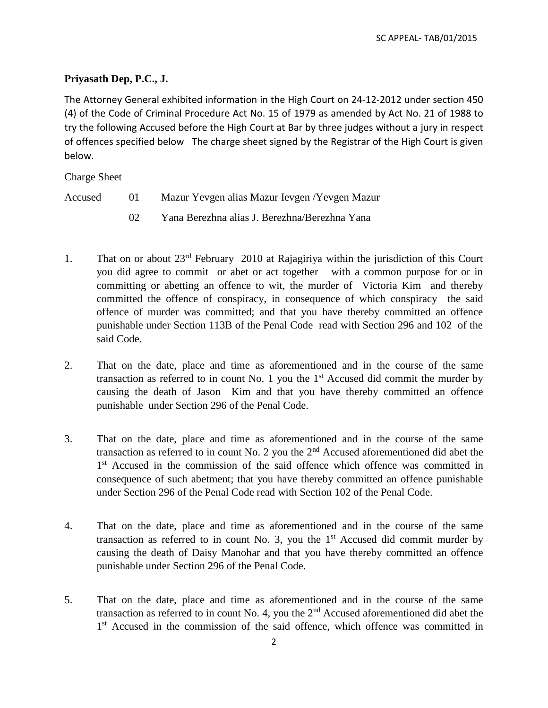# **Priyasath Dep, P.C., J.**

The Attorney General exhibited information in the High Court on 24-12-2012 under section 450 (4) of the Code of Criminal Procedure Act No. 15 of 1979 as amended by Act No. 21 of 1988 to try the following Accused before the High Court at Bar by three judges without a jury in respect of offences specified below The charge sheet signed by the Registrar of the High Court is given below.

Charge Sheet

- Accused 01 Mazur Yevgen alias Mazur Ievgen /Yevgen Mazur
	- 02 Yana Berezhna alias J. Berezhna/Berezhna Yana
- 1. That on or about 23rd February 2010 at Rajagiriya within the jurisdiction of this Court you did agree to commit or abet or act together with a common purpose for or in committing or abetting an offence to wit, the murder of Victoria Kim and thereby committed the offence of conspiracy, in consequence of which conspiracy the said offence of murder was committed; and that you have thereby committed an offence punishable under Section 113B of the Penal Code read with Section 296 and 102 of the said Code.
- 2. That on the date, place and time as aforementioned and in the course of the same transaction as referred to in count No. 1 you the  $1<sup>st</sup>$  Accused did commit the murder by causing the death of Jason Kim and that you have thereby committed an offence punishable under Section 296 of the Penal Code.
- 3. That on the date, place and time as aforementioned and in the course of the same transaction as referred to in count No. 2 you the  $2<sup>nd</sup>$  Accused aforementioned did abet the 1<sup>st</sup> Accused in the commission of the said offence which offence was committed in consequence of such abetment; that you have thereby committed an offence punishable under Section 296 of the Penal Code read with Section 102 of the Penal Code.
- 4. That on the date, place and time as aforementioned and in the course of the same transaction as referred to in count No. 3, you the  $1<sup>st</sup>$  Accused did commit murder by causing the death of Daisy Manohar and that you have thereby committed an offence punishable under Section 296 of the Penal Code.
- 5. That on the date, place and time as aforementioned and in the course of the same transaction as referred to in count No. 4, you the  $2<sup>nd</sup>$  Accused aforementioned did abet the 1<sup>st</sup> Accused in the commission of the said offence, which offence was committed in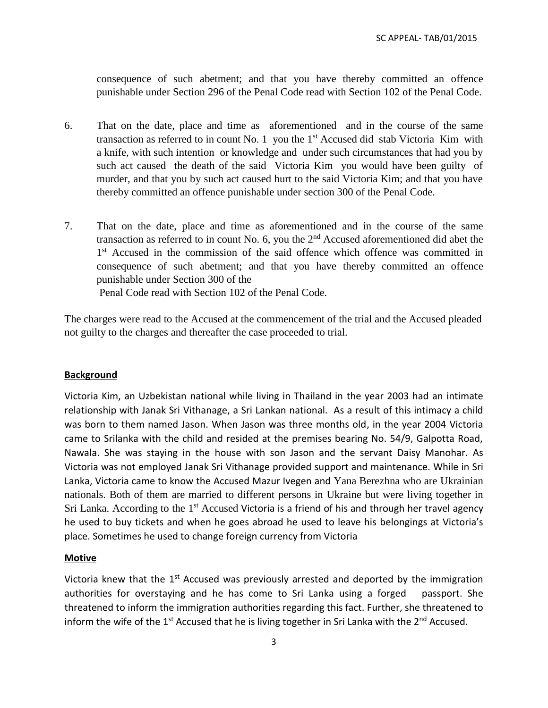consequence of such abetment; and that you have thereby committed an offence punishable under Section 296 of the Penal Code read with Section 102 of the Penal Code.

- 6. That on the date, place and time as aforementioned and in the course of the same transaction as referred to in count No. 1 you the  $1<sup>st</sup>$  Accused did stab Victoria Kim with a knife, with such intention or knowledge and under such circumstances that had you by such act caused the death of the said Victoria Kim you would have been guilty of murder, and that you by such act caused hurt to the said Victoria Kim; and that you have thereby committed an offence punishable under section 300 of the Penal Code.
- 7. That on the date, place and time as aforementioned and in the course of the same transaction as referred to in count No. 6, you the  $2<sup>nd</sup>$  Accused aforementioned did abet the 1<sup>st</sup> Accused in the commission of the said offence which offence was committed in consequence of such abetment; and that you have thereby committed an offence punishable under Section 300 of the

Penal Code read with Section 102 of the Penal Code.

The charges were read to the Accused at the commencement of the trial and the Accused pleaded not guilty to the charges and thereafter the case proceeded to trial.

## **Background**

Victoria Kim, an Uzbekistan national while living in Thailand in the year 2003 had an intimate relationship with Janak Sri Vithanage, a Sri Lankan national. As a result of this intimacy a child was born to them named Jason. When Jason was three months old, in the year 2004 Victoria came to Srilanka with the child and resided at the premises bearing No. 54/9, Galpotta Road, Nawala. She was staying in the house with son Jason and the servant Daisy Manohar. As Victoria was not employed Janak Sri Vithanage provided support and maintenance. While in Sri Lanka, Victoria came to know the Accused Mazur Ivegen and Yana Berezhna who are Ukrainian nationals. Both of them are married to different persons in Ukraine but were living together in Sri Lanka. According to the  $1<sup>st</sup>$  Accused Victoria is a friend of his and through her travel agency he used to buy tickets and when he goes abroad he used to leave his belongings at Victoria's place. Sometimes he used to change foreign currency from Victoria

## **Motive**

Victoria knew that the 1<sup>st</sup> Accused was previously arrested and deported by the immigration authorities for overstaying and he has come to Sri Lanka using a forged passport. She threatened to inform the immigration authorities regarding this fact. Further, she threatened to inform the wife of the 1<sup>st</sup> Accused that he is living together in Sri Lanka with the 2<sup>nd</sup> Accused.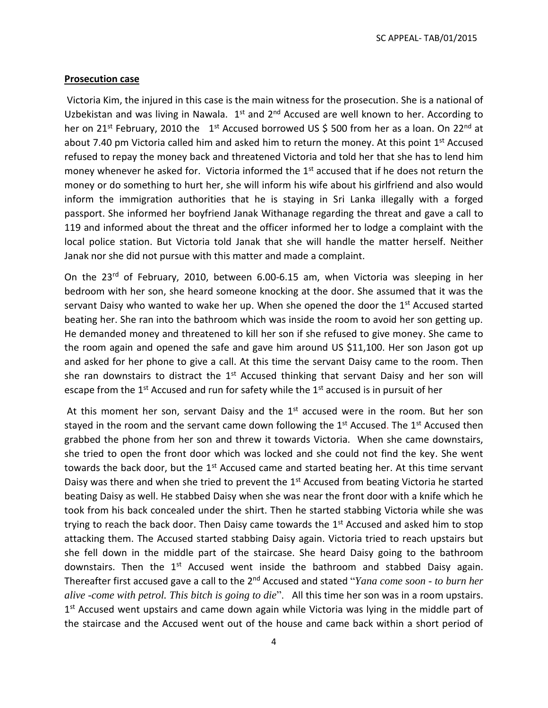SC APPEAL- TAB/01/2015

#### **Prosecution case**

Victoria Kim, the injured in this case is the main witness for the prosecution. She is a national of Uzbekistan and was living in Nawala.  $1<sup>st</sup>$  and  $2<sup>nd</sup>$  Accused are well known to her. According to her on 21<sup>st</sup> February, 2010 the 1<sup>st</sup> Accused borrowed US \$ 500 from her as a loan. On 22<sup>nd</sup> at about 7.40 pm Victoria called him and asked him to return the money. At this point 1<sup>st</sup> Accused refused to repay the money back and threatened Victoria and told her that she has to lend him money whenever he asked for. Victoria informed the 1<sup>st</sup> accused that if he does not return the money or do something to hurt her, she will inform his wife about his girlfriend and also would inform the immigration authorities that he is staying in Sri Lanka illegally with a forged passport. She informed her boyfriend Janak Withanage regarding the threat and gave a call to 119 and informed about the threat and the officer informed her to lodge a complaint with the local police station. But Victoria told Janak that she will handle the matter herself. Neither Janak nor she did not pursue with this matter and made a complaint.

On the 23<sup>rd</sup> of February, 2010, between 6.00-6.15 am, when Victoria was sleeping in her bedroom with her son, she heard someone knocking at the door. She assumed that it was the servant Daisy who wanted to wake her up. When she opened the door the 1<sup>st</sup> Accused started beating her. She ran into the bathroom which was inside the room to avoid her son getting up. He demanded money and threatened to kill her son if she refused to give money. She came to the room again and opened the safe and gave him around US \$11,100. Her son Jason got up and asked for her phone to give a call. At this time the servant Daisy came to the room. Then she ran downstairs to distract the  $1<sup>st</sup>$  Accused thinking that servant Daisy and her son will escape from the  $1<sup>st</sup>$  Accused and run for safety while the  $1<sup>st</sup>$  accused is in pursuit of her

At this moment her son, servant Daisy and the  $1<sup>st</sup>$  accused were in the room. But her son stayed in the room and the servant came down following the  $1<sup>st</sup>$  Accused. The  $1<sup>st</sup>$  Accused then grabbed the phone from her son and threw it towards Victoria. When she came downstairs, she tried to open the front door which was locked and she could not find the key. She went towards the back door, but the  $1<sup>st</sup>$  Accused came and started beating her. At this time servant Daisy was there and when she tried to prevent the 1<sup>st</sup> Accused from beating Victoria he started beating Daisy as well. He stabbed Daisy when she was near the front door with a knife which he took from his back concealed under the shirt. Then he started stabbing Victoria while she was trying to reach the back door. Then Daisy came towards the  $1<sup>st</sup>$  Accused and asked him to stop attacking them. The Accused started stabbing Daisy again. Victoria tried to reach upstairs but she fell down in the middle part of the staircase. She heard Daisy going to the bathroom downstairs. Then the 1<sup>st</sup> Accused went inside the bathroom and stabbed Daisy again. Thereafter first accused gave a call to the 2<sup>nd</sup> Accused and stated "*Yana come soon - to burn her alive -come with petrol. This bitch is going to die*". All this time her son was in a room upstairs. 1<sup>st</sup> Accused went upstairs and came down again while Victoria was lying in the middle part of the staircase and the Accused went out of the house and came back within a short period of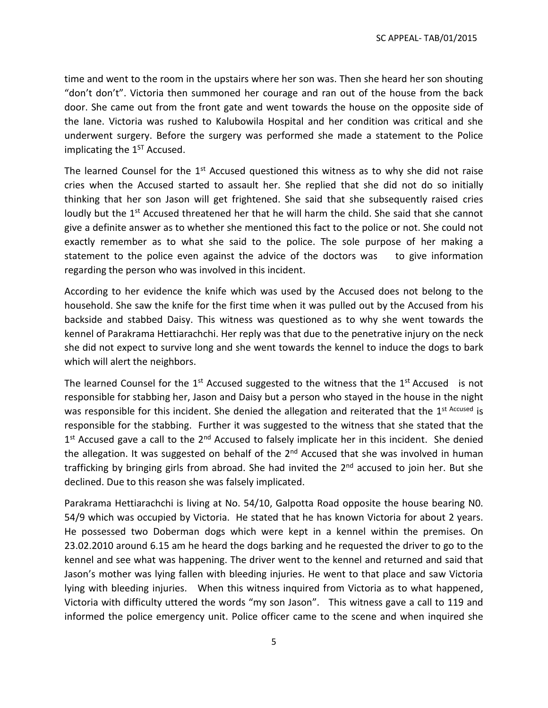time and went to the room in the upstairs where her son was. Then she heard her son shouting "don't don't". Victoria then summoned her courage and ran out of the house from the back door. She came out from the front gate and went towards the house on the opposite side of the lane. Victoria was rushed to Kalubowila Hospital and her condition was critical and she underwent surgery. Before the surgery was performed she made a statement to the Police implicating the  $1<sup>ST</sup>$  Accused.

The learned Counsel for the  $1<sup>st</sup>$  Accused questioned this witness as to why she did not raise cries when the Accused started to assault her. She replied that she did not do so initially thinking that her son Jason will get frightened. She said that she subsequently raised cries loudly but the 1<sup>st</sup> Accused threatened her that he will harm the child. She said that she cannot give a definite answer as to whether she mentioned this fact to the police or not. She could not exactly remember as to what she said to the police. The sole purpose of her making a statement to the police even against the advice of the doctors was to give information regarding the person who was involved in this incident.

According to her evidence the knife which was used by the Accused does not belong to the household. She saw the knife for the first time when it was pulled out by the Accused from his backside and stabbed Daisy. This witness was questioned as to why she went towards the kennel of Parakrama Hettiarachchi. Her reply was that due to the penetrative injury on the neck she did not expect to survive long and she went towards the kennel to induce the dogs to bark which will alert the neighbors.

The learned Counsel for the  $1<sup>st</sup>$  Accused suggested to the witness that the  $1<sup>st</sup>$  Accused is not responsible for stabbing her, Jason and Daisy but a person who stayed in the house in the night was responsible for this incident. She denied the allegation and reiterated that the 1<sup>st Accused</sup> is responsible for the stabbing. Further it was suggested to the witness that she stated that the 1<sup>st</sup> Accused gave a call to the 2<sup>nd</sup> Accused to falsely implicate her in this incident. She denied the allegation. It was suggested on behalf of the  $2<sup>nd</sup>$  Accused that she was involved in human trafficking by bringing girls from abroad. She had invited the 2<sup>nd</sup> accused to join her. But she declined. Due to this reason she was falsely implicated.

Parakrama Hettiarachchi is living at No. 54/10, Galpotta Road opposite the house bearing N0. 54/9 which was occupied by Victoria. He stated that he has known Victoria for about 2 years. He possessed two Doberman dogs which were kept in a kennel within the premises. On 23.02.2010 around 6.15 am he heard the dogs barking and he requested the driver to go to the kennel and see what was happening. The driver went to the kennel and returned and said that Jason's mother was lying fallen with bleeding injuries. He went to that place and saw Victoria lying with bleeding injuries. When this witness inquired from Victoria as to what happened, Victoria with difficulty uttered the words "my son Jason". This witness gave a call to 119 and informed the police emergency unit. Police officer came to the scene and when inquired she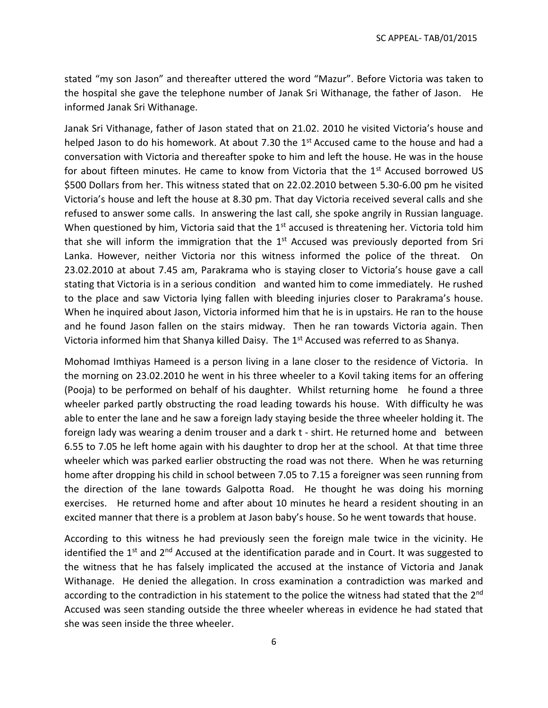stated "my son Jason" and thereafter uttered the word "Mazur". Before Victoria was taken to the hospital she gave the telephone number of Janak Sri Withanage, the father of Jason. He informed Janak Sri Withanage.

Janak Sri Vithanage, father of Jason stated that on 21.02. 2010 he visited Victoria's house and helped Jason to do his homework. At about 7.30 the 1<sup>st</sup> Accused came to the house and had a conversation with Victoria and thereafter spoke to him and left the house. He was in the house for about fifteen minutes. He came to know from Victoria that the 1<sup>st</sup> Accused borrowed US \$500 Dollars from her. This witness stated that on 22.02.2010 between 5.30-6.00 pm he visited Victoria's house and left the house at 8.30 pm. That day Victoria received several calls and she refused to answer some calls. In answering the last call, she spoke angrily in Russian language. When questioned by him, Victoria said that the 1<sup>st</sup> accused is threatening her. Victoria told him that she will inform the immigration that the  $1<sup>st</sup>$  Accused was previously deported from Sri Lanka. However, neither Victoria nor this witness informed the police of the threat. On 23.02.2010 at about 7.45 am, Parakrama who is staying closer to Victoria's house gave a call stating that Victoria is in a serious condition and wanted him to come immediately. He rushed to the place and saw Victoria lying fallen with bleeding injuries closer to Parakrama's house. When he inquired about Jason, Victoria informed him that he is in upstairs. He ran to the house and he found Jason fallen on the stairs midway. Then he ran towards Victoria again. Then Victoria informed him that Shanya killed Daisy. The 1<sup>st</sup> Accused was referred to as Shanya.

Mohomad Imthiyas Hameed is a person living in a lane closer to the residence of Victoria. In the morning on 23.02.2010 he went in his three wheeler to a Kovil taking items for an offering (Pooja) to be performed on behalf of his daughter. Whilst returning home he found a three wheeler parked partly obstructing the road leading towards his house. With difficulty he was able to enter the lane and he saw a foreign lady staying beside the three wheeler holding it. The foreign lady was wearing a denim trouser and a dark t - shirt. He returned home and between 6.55 to 7.05 he left home again with his daughter to drop her at the school. At that time three wheeler which was parked earlier obstructing the road was not there. When he was returning home after dropping his child in school between 7.05 to 7.15 a foreigner was seen running from the direction of the lane towards Galpotta Road. He thought he was doing his morning exercises. He returned home and after about 10 minutes he heard a resident shouting in an excited manner that there is a problem at Jason baby's house. So he went towards that house.

According to this witness he had previously seen the foreign male twice in the vicinity. He identified the 1<sup>st</sup> and 2<sup>nd</sup> Accused at the identification parade and in Court. It was suggested to the witness that he has falsely implicated the accused at the instance of Victoria and Janak Withanage. He denied the allegation. In cross examination a contradiction was marked and according to the contradiction in his statement to the police the witness had stated that the 2<sup>nd</sup> Accused was seen standing outside the three wheeler whereas in evidence he had stated that she was seen inside the three wheeler.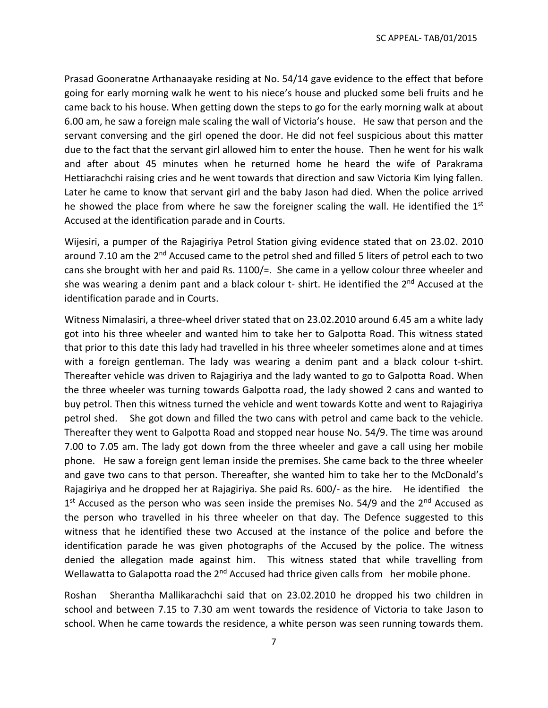Prasad Gooneratne Arthanaayake residing at No. 54/14 gave evidence to the effect that before going for early morning walk he went to his niece's house and plucked some beli fruits and he came back to his house. When getting down the steps to go for the early morning walk at about 6.00 am, he saw a foreign male scaling the wall of Victoria's house. He saw that person and the servant conversing and the girl opened the door. He did not feel suspicious about this matter due to the fact that the servant girl allowed him to enter the house. Then he went for his walk and after about 45 minutes when he returned home he heard the wife of Parakrama Hettiarachchi raising cries and he went towards that direction and saw Victoria Kim lying fallen. Later he came to know that servant girl and the baby Jason had died. When the police arrived he showed the place from where he saw the foreigner scaling the wall. He identified the 1<sup>st</sup> Accused at the identification parade and in Courts.

Wijesiri, a pumper of the Rajagiriya Petrol Station giving evidence stated that on 23.02. 2010 around 7.10 am the 2<sup>nd</sup> Accused came to the petrol shed and filled 5 liters of petrol each to two cans she brought with her and paid Rs. 1100/=. She came in a yellow colour three wheeler and she was wearing a denim pant and a black colour  $t$ - shirt. He identified the  $2^{nd}$  Accused at the identification parade and in Courts.

Witness Nimalasiri, a three-wheel driver stated that on 23.02.2010 around 6.45 am a white lady got into his three wheeler and wanted him to take her to Galpotta Road. This witness stated that prior to this date this lady had travelled in his three wheeler sometimes alone and at times with a foreign gentleman. The lady was wearing a denim pant and a black colour t-shirt. Thereafter vehicle was driven to Rajagiriya and the lady wanted to go to Galpotta Road. When the three wheeler was turning towards Galpotta road, the lady showed 2 cans and wanted to buy petrol. Then this witness turned the vehicle and went towards Kotte and went to Rajagiriya petrol shed. She got down and filled the two cans with petrol and came back to the vehicle. Thereafter they went to Galpotta Road and stopped near house No. 54/9. The time was around 7.00 to 7.05 am. The lady got down from the three wheeler and gave a call using her mobile phone. He saw a foreign gent leman inside the premises. She came back to the three wheeler and gave two cans to that person. Thereafter, she wanted him to take her to the McDonald's Rajagiriya and he dropped her at Rajagiriya. She paid Rs. 600/- as the hire. He identified the 1<sup>st</sup> Accused as the person who was seen inside the premises No. 54/9 and the 2<sup>nd</sup> Accused as the person who travelled in his three wheeler on that day. The Defence suggested to this witness that he identified these two Accused at the instance of the police and before the identification parade he was given photographs of the Accused by the police. The witness denied the allegation made against him. This witness stated that while travelling from Wellawatta to Galapotta road the 2<sup>nd</sup> Accused had thrice given calls from her mobile phone.

Roshan Sherantha Mallikarachchi said that on 23.02.2010 he dropped his two children in school and between 7.15 to 7.30 am went towards the residence of Victoria to take Jason to school. When he came towards the residence, a white person was seen running towards them.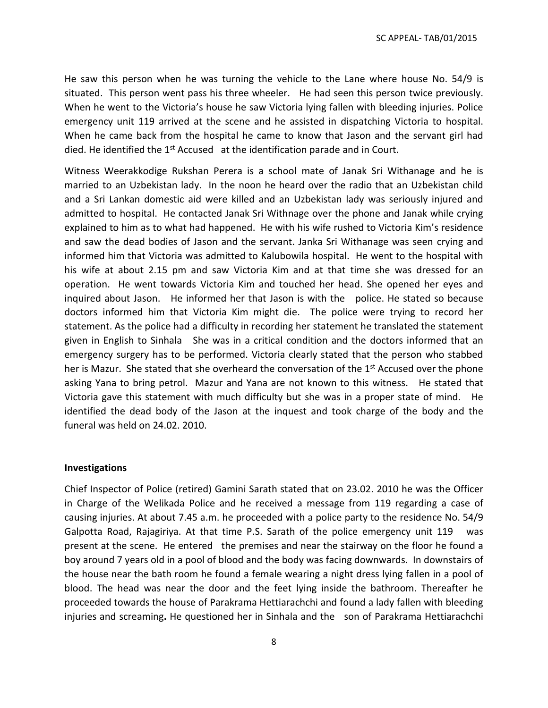He saw this person when he was turning the vehicle to the Lane where house No. 54/9 is situated. This person went pass his three wheeler. He had seen this person twice previously. When he went to the Victoria's house he saw Victoria lying fallen with bleeding injuries. Police emergency unit 119 arrived at the scene and he assisted in dispatching Victoria to hospital. When he came back from the hospital he came to know that Jason and the servant girl had died. He identified the  $1<sup>st</sup>$  Accused at the identification parade and in Court.

Witness Weerakkodige Rukshan Perera is a school mate of Janak Sri Withanage and he is married to an Uzbekistan lady. In the noon he heard over the radio that an Uzbekistan child and a Sri Lankan domestic aid were killed and an Uzbekistan lady was seriously injured and admitted to hospital. He contacted Janak Sri Withnage over the phone and Janak while crying explained to him as to what had happened. He with his wife rushed to Victoria Kim's residence and saw the dead bodies of Jason and the servant. Janka Sri Withanage was seen crying and informed him that Victoria was admitted to Kalubowila hospital. He went to the hospital with his wife at about 2.15 pm and saw Victoria Kim and at that time she was dressed for an operation. He went towards Victoria Kim and touched her head. She opened her eyes and inquired about Jason. He informed her that Jason is with the police. He stated so because doctors informed him that Victoria Kim might die. The police were trying to record her statement. As the police had a difficulty in recording her statement he translated the statement given in English to Sinhala She was in a critical condition and the doctors informed that an emergency surgery has to be performed. Victoria clearly stated that the person who stabbed her is Mazur. She stated that she overheard the conversation of the 1<sup>st</sup> Accused over the phone asking Yana to bring petrol. Mazur and Yana are not known to this witness. He stated that Victoria gave this statement with much difficulty but she was in a proper state of mind. He identified the dead body of the Jason at the inquest and took charge of the body and the funeral was held on 24.02. 2010.

#### **Investigations**

Chief Inspector of Police (retired) Gamini Sarath stated that on 23.02. 2010 he was the Officer in Charge of the Welikada Police and he received a message from 119 regarding a case of causing injuries. At about 7.45 a.m. he proceeded with a police party to the residence No. 54/9 Galpotta Road, Rajagiriya. At that time P.S. Sarath of the police emergency unit 119 was present at the scene. He entered the premises and near the stairway on the floor he found a boy around 7 years old in a pool of blood and the body was facing downwards. In downstairs of the house near the bath room he found a female wearing a night dress lying fallen in a pool of blood. The head was near the door and the feet lying inside the bathroom. Thereafter he proceeded towards the house of Parakrama Hettiarachchi and found a lady fallen with bleeding injuries and screaming**.** He questioned her in Sinhala and the son of Parakrama Hettiarachchi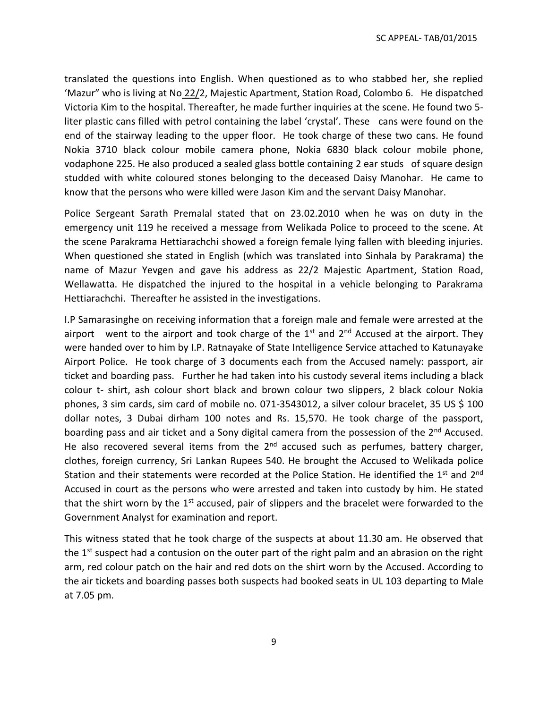SC APPEAL- TAB/01/2015

translated the questions into English. When questioned as to who stabbed her, she replied 'Mazur" who is living at No 22/2, Majestic Apartment, Station Road, Colombo 6. He dispatched Victoria Kim to the hospital. Thereafter, he made further inquiries at the scene. He found two 5 liter plastic cans filled with petrol containing the label 'crystal'. These cans were found on the end of the stairway leading to the upper floor. He took charge of these two cans. He found Nokia 3710 black colour mobile camera phone, Nokia 6830 black colour mobile phone, vodaphone 225. He also produced a sealed glass bottle containing 2 ear studs of square design studded with white coloured stones belonging to the deceased Daisy Manohar. He came to know that the persons who were killed were Jason Kim and the servant Daisy Manohar.

Police Sergeant Sarath Premalal stated that on 23.02.2010 when he was on duty in the emergency unit 119 he received a message from Welikada Police to proceed to the scene. At the scene Parakrama Hettiarachchi showed a foreign female lying fallen with bleeding injuries. When questioned she stated in English (which was translated into Sinhala by Parakrama) the name of Mazur Yevgen and gave his address as 22/2 Majestic Apartment, Station Road, Wellawatta. He dispatched the injured to the hospital in a vehicle belonging to Parakrama Hettiarachchi. Thereafter he assisted in the investigations.

I.P Samarasinghe on receiving information that a foreign male and female were arrested at the airport went to the airport and took charge of the  $1<sup>st</sup>$  and  $2<sup>nd</sup>$  Accused at the airport. They were handed over to him by I.P. Ratnayake of State Intelligence Service attached to Katunayake Airport Police. He took charge of 3 documents each from the Accused namely: passport, air ticket and boarding pass. Further he had taken into his custody several items including a black colour t- shirt, ash colour short black and brown colour two slippers, 2 black colour Nokia phones, 3 sim cards, sim card of mobile no. 071-3543012, a silver colour bracelet, 35 US \$ 100 dollar notes, 3 Dubai dirham 100 notes and Rs. 15,570. He took charge of the passport, boarding pass and air ticket and a Sony digital camera from the possession of the 2<sup>nd</sup> Accused. He also recovered several items from the  $2<sup>nd</sup>$  accused such as perfumes, battery charger, clothes, foreign currency, Sri Lankan Rupees 540. He brought the Accused to Welikada police Station and their statements were recorded at the Police Station. He identified the 1<sup>st</sup> and 2<sup>nd</sup> Accused in court as the persons who were arrested and taken into custody by him. He stated that the shirt worn by the  $1<sup>st</sup>$  accused, pair of slippers and the bracelet were forwarded to the Government Analyst for examination and report.

This witness stated that he took charge of the suspects at about 11.30 am. He observed that the 1<sup>st</sup> suspect had a contusion on the outer part of the right palm and an abrasion on the right arm, red colour patch on the hair and red dots on the shirt worn by the Accused. According to the air tickets and boarding passes both suspects had booked seats in UL 103 departing to Male at 7.05 pm.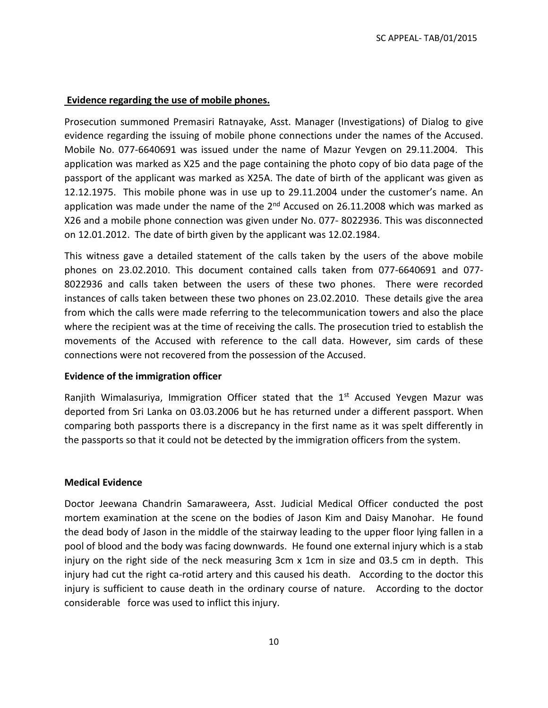### **Evidence regarding the use of mobile phones.**

Prosecution summoned Premasiri Ratnayake, Asst. Manager (Investigations) of Dialog to give evidence regarding the issuing of mobile phone connections under the names of the Accused. Mobile No. 077-6640691 was issued under the name of Mazur Yevgen on 29.11.2004. This application was marked as X25 and the page containing the photo copy of bio data page of the passport of the applicant was marked as X25A. The date of birth of the applicant was given as 12.12.1975. This mobile phone was in use up to 29.11.2004 under the customer's name. An application was made under the name of the  $2^{nd}$  Accused on 26.11.2008 which was marked as X26 and a mobile phone connection was given under No. 077- 8022936. This was disconnected on 12.01.2012. The date of birth given by the applicant was 12.02.1984.

This witness gave a detailed statement of the calls taken by the users of the above mobile phones on 23.02.2010. This document contained calls taken from 077-6640691 and 077- 8022936 and calls taken between the users of these two phones. There were recorded instances of calls taken between these two phones on 23.02.2010. These details give the area from which the calls were made referring to the telecommunication towers and also the place where the recipient was at the time of receiving the calls. The prosecution tried to establish the movements of the Accused with reference to the call data. However, sim cards of these connections were not recovered from the possession of the Accused.

#### **Evidence of the immigration officer**

Ranjith Wimalasuriya, Immigration Officer stated that the  $1<sup>st</sup>$  Accused Yevgen Mazur was deported from Sri Lanka on 03.03.2006 but he has returned under a different passport. When comparing both passports there is a discrepancy in the first name as it was spelt differently in the passports so that it could not be detected by the immigration officers from the system.

#### **Medical Evidence**

Doctor Jeewana Chandrin Samaraweera, Asst. Judicial Medical Officer conducted the post mortem examination at the scene on the bodies of Jason Kim and Daisy Manohar. He found the dead body of Jason in the middle of the stairway leading to the upper floor lying fallen in a pool of blood and the body was facing downwards. He found one external injury which is a stab injury on the right side of the neck measuring 3cm x 1cm in size and 03.5 cm in depth. This injury had cut the right ca-rotid artery and this caused his death. According to the doctor this injury is sufficient to cause death in the ordinary course of nature. According to the doctor considerable force was used to inflict this injury.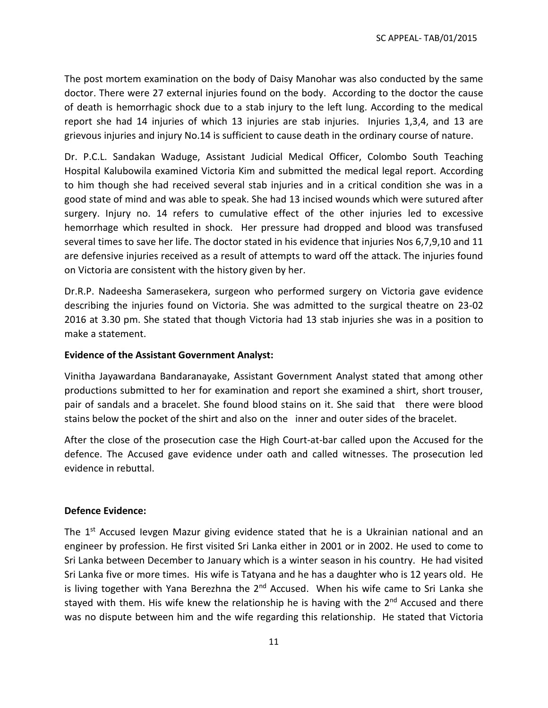The post mortem examination on the body of Daisy Manohar was also conducted by the same doctor. There were 27 external injuries found on the body. According to the doctor the cause of death is hemorrhagic shock due to a stab injury to the left lung. According to the medical report she had 14 injuries of which 13 injuries are stab injuries. Injuries 1,3,4, and 13 are grievous injuries and injury No.14 is sufficient to cause death in the ordinary course of nature.

Dr. P.C.L. Sandakan Waduge, Assistant Judicial Medical Officer, Colombo South Teaching Hospital Kalubowila examined Victoria Kim and submitted the medical legal report. According to him though she had received several stab injuries and in a critical condition she was in a good state of mind and was able to speak. She had 13 incised wounds which were sutured after surgery. Injury no. 14 refers to cumulative effect of the other injuries led to excessive hemorrhage which resulted in shock. Her pressure had dropped and blood was transfused several times to save her life. The doctor stated in his evidence that injuries Nos 6,7,9,10 and 11 are defensive injuries received as a result of attempts to ward off the attack. The injuries found on Victoria are consistent with the history given by her.

Dr.R.P. Nadeesha Samerasekera, surgeon who performed surgery on Victoria gave evidence describing the injuries found on Victoria. She was admitted to the surgical theatre on 23-02 2016 at 3.30 pm. She stated that though Victoria had 13 stab injuries she was in a position to make a statement.

#### **Evidence of the Assistant Government Analyst:**

Vinitha Jayawardana Bandaranayake, Assistant Government Analyst stated that among other productions submitted to her for examination and report she examined a shirt, short trouser, pair of sandals and a bracelet. She found blood stains on it. She said that there were blood stains below the pocket of the shirt and also on the inner and outer sides of the bracelet.

After the close of the prosecution case the High Court-at-bar called upon the Accused for the defence. The Accused gave evidence under oath and called witnesses. The prosecution led evidence in rebuttal.

### **Defence Evidence:**

The 1<sup>st</sup> Accused Ievgen Mazur giving evidence stated that he is a Ukrainian national and an engineer by profession. He first visited Sri Lanka either in 2001 or in 2002. He used to come to Sri Lanka between December to January which is a winter season in his country. He had visited Sri Lanka five or more times. His wife is Tatyana and he has a daughter who is 12 years old. He is living together with Yana Berezhna the 2<sup>nd</sup> Accused. When his wife came to Sri Lanka she stayed with them. His wife knew the relationship he is having with the  $2^{nd}$  Accused and there was no dispute between him and the wife regarding this relationship. He stated that Victoria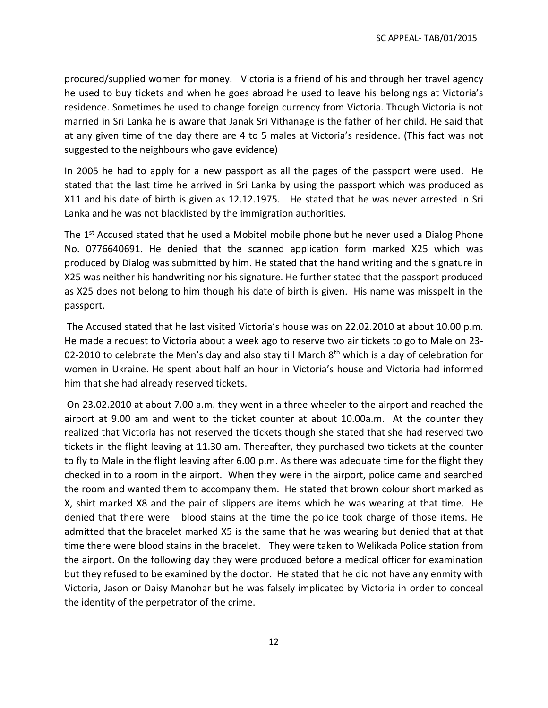procured/supplied women for money. Victoria is a friend of his and through her travel agency he used to buy tickets and when he goes abroad he used to leave his belongings at Victoria's residence. Sometimes he used to change foreign currency from Victoria. Though Victoria is not married in Sri Lanka he is aware that Janak Sri Vithanage is the father of her child. He said that at any given time of the day there are 4 to 5 males at Victoria's residence. (This fact was not suggested to the neighbours who gave evidence)

In 2005 he had to apply for a new passport as all the pages of the passport were used. He stated that the last time he arrived in Sri Lanka by using the passport which was produced as X11 and his date of birth is given as 12.12.1975. He stated that he was never arrested in Sri Lanka and he was not blacklisted by the immigration authorities.

The 1<sup>st</sup> Accused stated that he used a Mobitel mobile phone but he never used a Dialog Phone No. 0776640691. He denied that the scanned application form marked X25 which was produced by Dialog was submitted by him. He stated that the hand writing and the signature in X25 was neither his handwriting nor his signature. He further stated that the passport produced as X25 does not belong to him though his date of birth is given. His name was misspelt in the passport.

The Accused stated that he last visited Victoria's house was on 22.02.2010 at about 10.00 p.m. He made a request to Victoria about a week ago to reserve two air tickets to go to Male on 23- 02-2010 to celebrate the Men's day and also stay till March  $8<sup>th</sup>$  which is a day of celebration for women in Ukraine. He spent about half an hour in Victoria's house and Victoria had informed him that she had already reserved tickets.

On 23.02.2010 at about 7.00 a.m. they went in a three wheeler to the airport and reached the airport at 9.00 am and went to the ticket counter at about 10.00a.m. At the counter they realized that Victoria has not reserved the tickets though she stated that she had reserved two tickets in the flight leaving at 11.30 am. Thereafter, they purchased two tickets at the counter to fly to Male in the flight leaving after 6.00 p.m. As there was adequate time for the flight they checked in to a room in the airport. When they were in the airport, police came and searched the room and wanted them to accompany them. He stated that brown colour short marked as X, shirt marked X8 and the pair of slippers are items which he was wearing at that time. He denied that there were blood stains at the time the police took charge of those items. He admitted that the bracelet marked X5 is the same that he was wearing but denied that at that time there were blood stains in the bracelet. They were taken to Welikada Police station from the airport. On the following day they were produced before a medical officer for examination but they refused to be examined by the doctor. He stated that he did not have any enmity with Victoria, Jason or Daisy Manohar but he was falsely implicated by Victoria in order to conceal the identity of the perpetrator of the crime.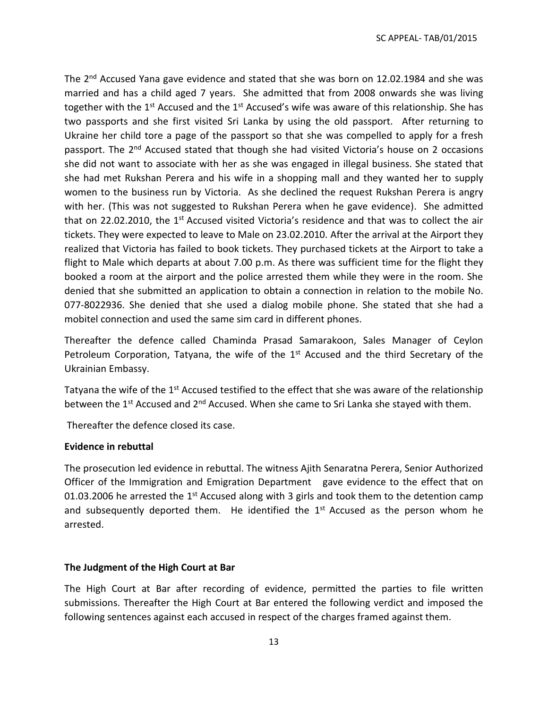The  $2<sup>nd</sup>$  Accused Yana gave evidence and stated that she was born on 12.02.1984 and she was married and has a child aged 7 years. She admitted that from 2008 onwards she was living together with the 1<sup>st</sup> Accused and the 1<sup>st</sup> Accused's wife was aware of this relationship. She has two passports and she first visited Sri Lanka by using the old passport. After returning to Ukraine her child tore a page of the passport so that she was compelled to apply for a fresh passport. The 2<sup>nd</sup> Accused stated that though she had visited Victoria's house on 2 occasions she did not want to associate with her as she was engaged in illegal business. She stated that she had met Rukshan Perera and his wife in a shopping mall and they wanted her to supply women to the business run by Victoria. As she declined the request Rukshan Perera is angry with her. (This was not suggested to Rukshan Perera when he gave evidence). She admitted that on 22.02.2010, the  $1<sup>st</sup>$  Accused visited Victoria's residence and that was to collect the air tickets. They were expected to leave to Male on 23.02.2010. After the arrival at the Airport they realized that Victoria has failed to book tickets. They purchased tickets at the Airport to take a flight to Male which departs at about 7.00 p.m. As there was sufficient time for the flight they booked a room at the airport and the police arrested them while they were in the room. She denied that she submitted an application to obtain a connection in relation to the mobile No. 077-8022936. She denied that she used a dialog mobile phone. She stated that she had a mobitel connection and used the same sim card in different phones.

Thereafter the defence called Chaminda Prasad Samarakoon, Sales Manager of Ceylon Petroleum Corporation, Tatyana, the wife of the  $1<sup>st</sup>$  Accused and the third Secretary of the Ukrainian Embassy.

Tatyana the wife of the  $1<sup>st</sup>$  Accused testified to the effect that she was aware of the relationship between the 1<sup>st</sup> Accused and 2<sup>nd</sup> Accused. When she came to Sri Lanka she stayed with them.

Thereafter the defence closed its case.

#### **Evidence in rebuttal**

The prosecution led evidence in rebuttal. The witness Ajith Senaratna Perera, Senior Authorized Officer of the Immigration and Emigration Department gave evidence to the effect that on 01.03.2006 he arrested the 1<sup>st</sup> Accused along with 3 girls and took them to the detention camp and subsequently deported them. He identified the 1<sup>st</sup> Accused as the person whom he arrested.

#### **The Judgment of the High Court at Bar**

The High Court at Bar after recording of evidence, permitted the parties to file written submissions. Thereafter the High Court at Bar entered the following verdict and imposed the following sentences against each accused in respect of the charges framed against them.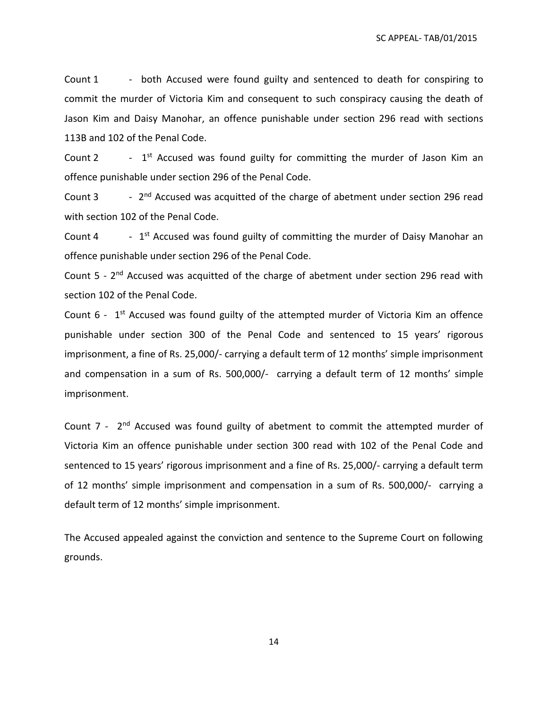Count 1 - both Accused were found guilty and sentenced to death for conspiring to commit the murder of Victoria Kim and consequent to such conspiracy causing the death of Jason Kim and Daisy Manohar, an offence punishable under section 296 read with sections 113B and 102 of the Penal Code.

Count 2 -  $1<sup>st</sup>$  Accused was found guilty for committing the murder of Jason Kim an offence punishable under section 296 of the Penal Code.

Count 3 -  $2<sup>nd</sup>$  Accused was acquitted of the charge of abetment under section 296 read with section 102 of the Penal Code.

Count 4 -  $1<sup>st</sup>$  Accused was found guilty of committing the murder of Daisy Manohar an offence punishable under section 296 of the Penal Code.

Count 5 - 2<sup>nd</sup> Accused was acquitted of the charge of abetment under section 296 read with section 102 of the Penal Code.

Count  $6$  -  $1<sup>st</sup>$  Accused was found guilty of the attempted murder of Victoria Kim an offence punishable under section 300 of the Penal Code and sentenced to 15 years' rigorous imprisonment, a fine of Rs. 25,000/- carrying a default term of 12 months' simple imprisonment and compensation in a sum of Rs. 500,000/- carrying a default term of 12 months' simple imprisonment.

Count 7 - 2<sup>nd</sup> Accused was found guilty of abetment to commit the attempted murder of Victoria Kim an offence punishable under section 300 read with 102 of the Penal Code and sentenced to 15 years' rigorous imprisonment and a fine of Rs. 25,000/- carrying a default term of 12 months' simple imprisonment and compensation in a sum of Rs. 500,000/- carrying a default term of 12 months' simple imprisonment.

The Accused appealed against the conviction and sentence to the Supreme Court on following grounds.

14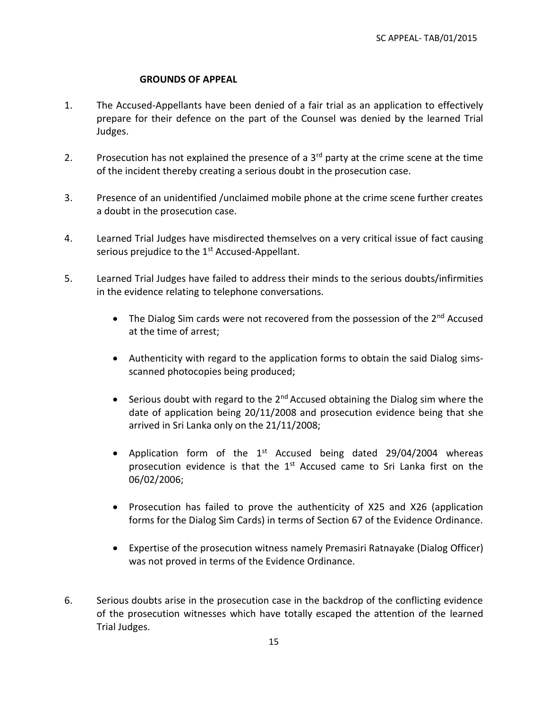## **GROUNDS OF APPEAL**

- 1. The Accused-Appellants have been denied of a fair trial as an application to effectively prepare for their defence on the part of the Counsel was denied by the learned Trial Judges.
- 2. Prosecution has not explained the presence of a  $3<sup>rd</sup>$  party at the crime scene at the time of the incident thereby creating a serious doubt in the prosecution case.
- 3. Presence of an unidentified /unclaimed mobile phone at the crime scene further creates a doubt in the prosecution case.
- 4. Learned Trial Judges have misdirected themselves on a very critical issue of fact causing serious prejudice to the 1<sup>st</sup> Accused-Appellant.
- 5. Learned Trial Judges have failed to address their minds to the serious doubts/infirmities in the evidence relating to telephone conversations.
	- The Dialog Sim cards were not recovered from the possession of the 2<sup>nd</sup> Accused at the time of arrest;
	- Authenticity with regard to the application forms to obtain the said Dialog simsscanned photocopies being produced;
	- Serious doubt with regard to the  $2^{nd}$  Accused obtaining the Dialog sim where the date of application being 20/11/2008 and prosecution evidence being that she arrived in Sri Lanka only on the 21/11/2008;
	- Application form of the 1<sup>st</sup> Accused being dated 29/04/2004 whereas prosecution evidence is that the 1<sup>st</sup> Accused came to Sri Lanka first on the 06/02/2006;
	- Prosecution has failed to prove the authenticity of X25 and X26 (application forms for the Dialog Sim Cards) in terms of Section 67 of the Evidence Ordinance.
	- Expertise of the prosecution witness namely Premasiri Ratnayake (Dialog Officer) was not proved in terms of the Evidence Ordinance.
- 6. Serious doubts arise in the prosecution case in the backdrop of the conflicting evidence of the prosecution witnesses which have totally escaped the attention of the learned Trial Judges.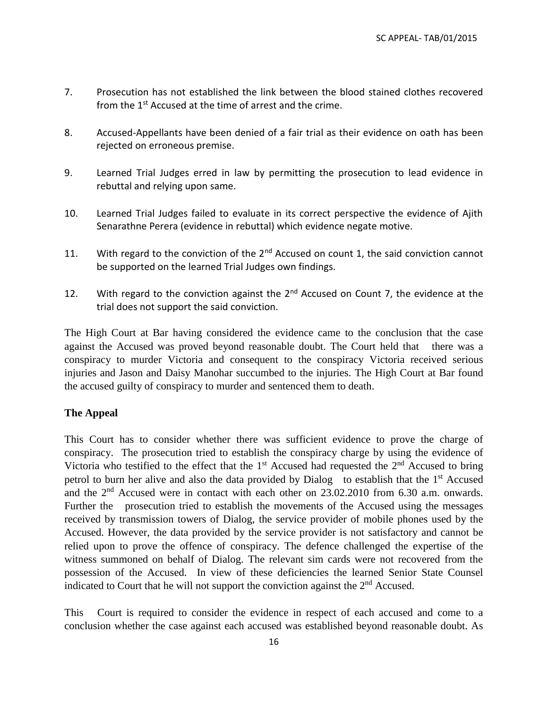- 7. Prosecution has not established the link between the blood stained clothes recovered from the 1<sup>st</sup> Accused at the time of arrest and the crime.
- 8. Accused-Appellants have been denied of a fair trial as their evidence on oath has been rejected on erroneous premise.
- 9. Learned Trial Judges erred in law by permitting the prosecution to lead evidence in rebuttal and relying upon same.
- 10. Learned Trial Judges failed to evaluate in its correct perspective the evidence of Ajith Senarathne Perera (evidence in rebuttal) which evidence negate motive.
- 11. With regard to the conviction of the  $2^{nd}$  Accused on count 1, the said conviction cannot be supported on the learned Trial Judges own findings.
- 12. With regard to the conviction against the  $2<sup>nd</sup>$  Accused on Count 7, the evidence at the trial does not support the said conviction.

The High Court at Bar having considered the evidence came to the conclusion that the case against the Accused was proved beyond reasonable doubt. The Court held that there was a conspiracy to murder Victoria and consequent to the conspiracy Victoria received serious injuries and Jason and Daisy Manohar succumbed to the injuries. The High Court at Bar found the accused guilty of conspiracy to murder and sentenced them to death.

## **The Appeal**

This Court has to consider whether there was sufficient evidence to prove the charge of conspiracy. The prosecution tried to establish the conspiracy charge by using the evidence of Victoria who testified to the effect that the  $1<sup>st</sup>$  Accused had requested the  $2<sup>nd</sup>$  Accused to bring petrol to burn her alive and also the data provided by Dialog to establish that the  $1<sup>st</sup>$  Accused and the 2<sup>nd</sup> Accused were in contact with each other on 23.02.2010 from 6.30 a.m. onwards. Further the prosecution tried to establish the movements of the Accused using the messages received by transmission towers of Dialog, the service provider of mobile phones used by the Accused. However, the data provided by the service provider is not satisfactory and cannot be relied upon to prove the offence of conspiracy. The defence challenged the expertise of the witness summoned on behalf of Dialog. The relevant sim cards were not recovered from the possession of the Accused. In view of these deficiencies the learned Senior State Counsel indicated to Court that he will not support the conviction against the  $2<sup>nd</sup>$  Accused.

This Court is required to consider the evidence in respect of each accused and come to a conclusion whether the case against each accused was established beyond reasonable doubt. As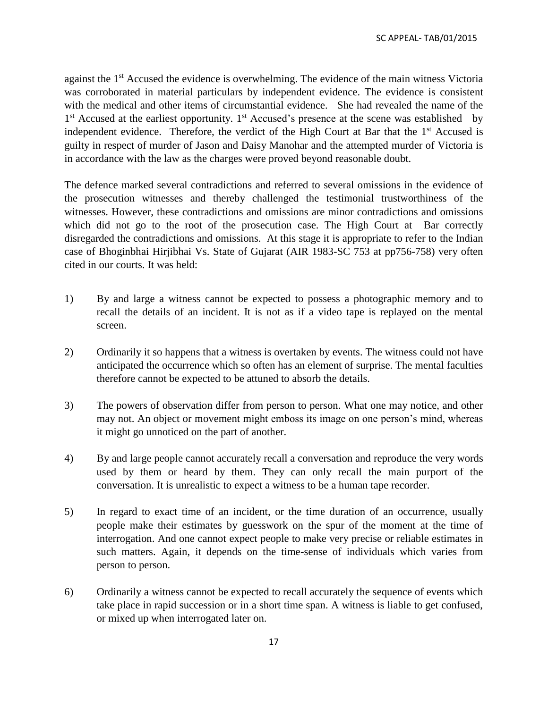against the 1<sup>st</sup> Accused the evidence is overwhelming. The evidence of the main witness Victoria was corroborated in material particulars by independent evidence. The evidence is consistent with the medical and other items of circumstantial evidence. She had revealed the name of the 1<sup>st</sup> Accused at the earliest opportunity. 1<sup>st</sup> Accused's presence at the scene was established by independent evidence. Therefore, the verdict of the High Court at Bar that the 1<sup>st</sup> Accused is guilty in respect of murder of Jason and Daisy Manohar and the attempted murder of Victoria is in accordance with the law as the charges were proved beyond reasonable doubt.

The defence marked several contradictions and referred to several omissions in the evidence of the prosecution witnesses and thereby challenged the testimonial trustworthiness of the witnesses. However, these contradictions and omissions are minor contradictions and omissions which did not go to the root of the prosecution case. The High Court at Bar correctly disregarded the contradictions and omissions. At this stage it is appropriate to refer to the Indian case of Bhoginbhai Hirjibhai Vs. State of Gujarat (AIR 1983-SC 753 at pp756-758) very often cited in our courts. It was held:

- 1) By and large a witness cannot be expected to possess a photographic memory and to recall the details of an incident. It is not as if a video tape is replayed on the mental screen.
- 2) Ordinarily it so happens that a witness is overtaken by events. The witness could not have anticipated the occurrence which so often has an element of surprise. The mental faculties therefore cannot be expected to be attuned to absorb the details.
- 3) The powers of observation differ from person to person. What one may notice, and other may not. An object or movement might emboss its image on one person's mind, whereas it might go unnoticed on the part of another.
- 4) By and large people cannot accurately recall a conversation and reproduce the very words used by them or heard by them. They can only recall the main purport of the conversation. It is unrealistic to expect a witness to be a human tape recorder.
- 5) In regard to exact time of an incident, or the time duration of an occurrence, usually people make their estimates by guesswork on the spur of the moment at the time of interrogation. And one cannot expect people to make very precise or reliable estimates in such matters. Again, it depends on the time-sense of individuals which varies from person to person.
- 6) Ordinarily a witness cannot be expected to recall accurately the sequence of events which take place in rapid succession or in a short time span. A witness is liable to get confused, or mixed up when interrogated later on.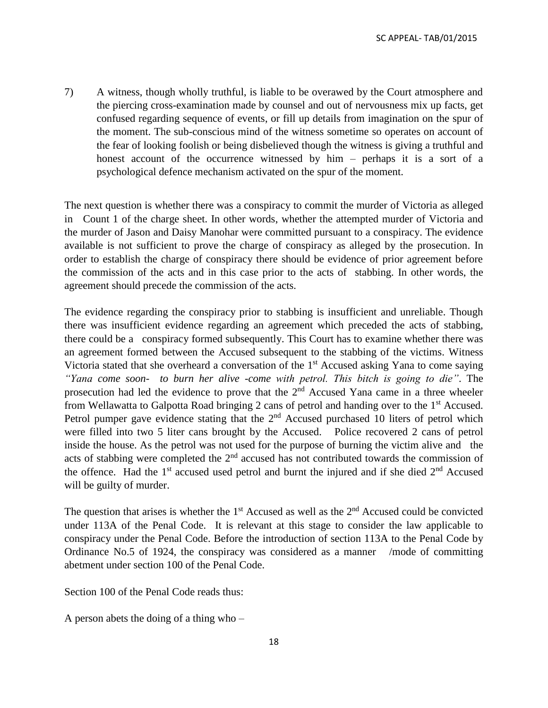7) A witness, though wholly truthful, is liable to be overawed by the Court atmosphere and the piercing cross-examination made by counsel and out of nervousness mix up facts, get confused regarding sequence of events, or fill up details from imagination on the spur of the moment. The sub-conscious mind of the witness sometime so operates on account of the fear of looking foolish or being disbelieved though the witness is giving a truthful and honest account of the occurrence witnessed by him – perhaps it is a sort of a psychological defence mechanism activated on the spur of the moment.

The next question is whether there was a conspiracy to commit the murder of Victoria as alleged in Count 1 of the charge sheet. In other words, whether the attempted murder of Victoria and the murder of Jason and Daisy Manohar were committed pursuant to a conspiracy. The evidence available is not sufficient to prove the charge of conspiracy as alleged by the prosecution. In order to establish the charge of conspiracy there should be evidence of prior agreement before the commission of the acts and in this case prior to the acts of stabbing. In other words, the agreement should precede the commission of the acts.

The evidence regarding the conspiracy prior to stabbing is insufficient and unreliable. Though there was insufficient evidence regarding an agreement which preceded the acts of stabbing, there could be a conspiracy formed subsequently. This Court has to examine whether there was an agreement formed between the Accused subsequent to the stabbing of the victims. Witness Victoria stated that she overheard a conversation of the  $1<sup>st</sup>$  Accused asking Yana to come saying *"Yana come soon- to burn her alive -come with petrol. This bitch is going to die"*. The prosecution had led the evidence to prove that the  $2<sup>nd</sup>$  Accused Yana came in a three wheeler from Wellawatta to Galpotta Road bringing 2 cans of petrol and handing over to the 1st Accused. Petrol pumper gave evidence stating that the  $2<sup>nd</sup>$  Accused purchased 10 liters of petrol which were filled into two 5 liter cans brought by the Accused. Police recovered 2 cans of petrol inside the house. As the petrol was not used for the purpose of burning the victim alive and the acts of stabbing were completed the  $2<sup>nd</sup>$  accused has not contributed towards the commission of the offence. Had the  $1<sup>st</sup>$  accused used petrol and burnt the injured and if she died  $2<sup>nd</sup>$  Accused will be guilty of murder.

The question that arises is whether the  $1<sup>st</sup>$  Accused as well as the  $2<sup>nd</sup>$  Accused could be convicted under 113A of the Penal Code. It is relevant at this stage to consider the law applicable to conspiracy under the Penal Code. Before the introduction of section 113A to the Penal Code by Ordinance No.5 of 1924, the conspiracy was considered as a manner /mode of committing abetment under section 100 of the Penal Code.

Section 100 of the Penal Code reads thus:

A person abets the doing of a thing who –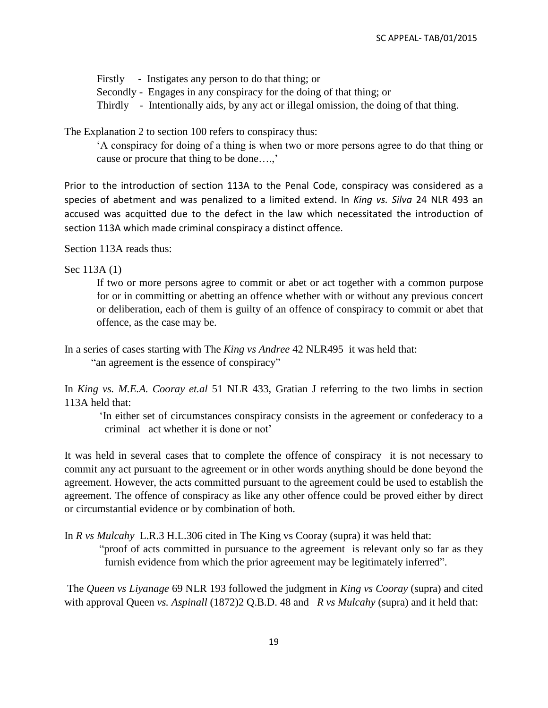Firstly - Instigates any person to do that thing; or Secondly - Engages in any conspiracy for the doing of that thing; or Thirdly - Intentionally aids, by any act or illegal omission, the doing of that thing.

The Explanation 2 to section 100 refers to conspiracy thus:

'A conspiracy for doing of a thing is when two or more persons agree to do that thing or cause or procure that thing to be done….,'

Prior to the introduction of section 113A to the Penal Code, conspiracy was considered as a species of abetment and was penalized to a limited extend. In *King vs. Silva* 24 NLR 493 an accused was acquitted due to the defect in the law which necessitated the introduction of section 113A which made criminal conspiracy a distinct offence.

Section 113A reads thus:

Sec 113A (1)

If two or more persons agree to commit or abet or act together with a common purpose for or in committing or abetting an offence whether with or without any previous concert or deliberation, each of them is guilty of an offence of conspiracy to commit or abet that offence, as the case may be.

In a series of cases starting with The *King vs Andree* 42 NLR495 it was held that: "an agreement is the essence of conspiracy"

In *King vs. M.E.A. Cooray et.al* 51 NLR 433, Gratian J referring to the two limbs in section 113A held that:

'In either set of circumstances conspiracy consists in the agreement or confederacy to a criminal act whether it is done or not'

It was held in several cases that to complete the offence of conspiracy it is not necessary to commit any act pursuant to the agreement or in other words anything should be done beyond the agreement. However, the acts committed pursuant to the agreement could be used to establish the agreement. The offence of conspiracy as like any other offence could be proved either by direct or circumstantial evidence or by combination of both.

In *R vs Mulcahy* L.R.3 H.L.306 cited in The King vs Cooray (supra) it was held that:

"proof of acts committed in pursuance to the agreement is relevant only so far as they furnish evidence from which the prior agreement may be legitimately inferred".

The *Queen vs Liyanage* 69 NLR 193 followed the judgment in *King vs Cooray* (supra) and cited with approval Queen *vs. Aspinall* (1872)2 Q.B.D. 48 and *R vs Mulcahy* (supra) and it held that: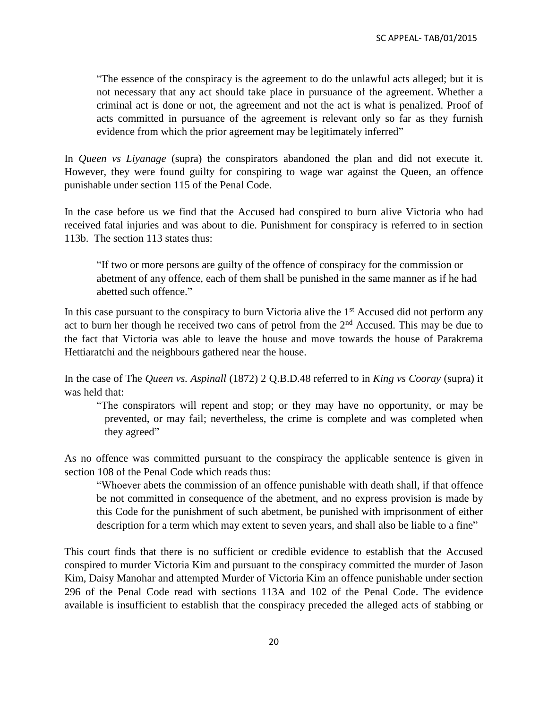"The essence of the conspiracy is the agreement to do the unlawful acts alleged; but it is not necessary that any act should take place in pursuance of the agreement. Whether a criminal act is done or not, the agreement and not the act is what is penalized. Proof of acts committed in pursuance of the agreement is relevant only so far as they furnish evidence from which the prior agreement may be legitimately inferred"

In *Queen vs Liyanage* (supra) the conspirators abandoned the plan and did not execute it. However, they were found guilty for conspiring to wage war against the Queen, an offence punishable under section 115 of the Penal Code.

In the case before us we find that the Accused had conspired to burn alive Victoria who had received fatal injuries and was about to die. Punishment for conspiracy is referred to in section 113b. The section 113 states thus:

"If two or more persons are guilty of the offence of conspiracy for the commission or abetment of any offence, each of them shall be punished in the same manner as if he had abetted such offence."

In this case pursuant to the conspiracy to burn Victoria alive the  $1<sup>st</sup>$  Accused did not perform any act to burn her though he received two cans of petrol from the  $2<sup>nd</sup>$  Accused. This may be due to the fact that Victoria was able to leave the house and move towards the house of Parakrema Hettiaratchi and the neighbours gathered near the house.

In the case of The *Queen vs. Aspinall* (1872) 2 Q.B.D.48 referred to in *King vs Cooray* (supra) it was held that:

"The conspirators will repent and stop; or they may have no opportunity, or may be prevented, or may fail; nevertheless, the crime is complete and was completed when they agreed"

As no offence was committed pursuant to the conspiracy the applicable sentence is given in section 108 of the Penal Code which reads thus:

"Whoever abets the commission of an offence punishable with death shall, if that offence be not committed in consequence of the abetment, and no express provision is made by this Code for the punishment of such abetment, be punished with imprisonment of either description for a term which may extent to seven years, and shall also be liable to a fine"

This court finds that there is no sufficient or credible evidence to establish that the Accused conspired to murder Victoria Kim and pursuant to the conspiracy committed the murder of Jason Kim, Daisy Manohar and attempted Murder of Victoria Kim an offence punishable under section 296 of the Penal Code read with sections 113A and 102 of the Penal Code. The evidence available is insufficient to establish that the conspiracy preceded the alleged acts of stabbing or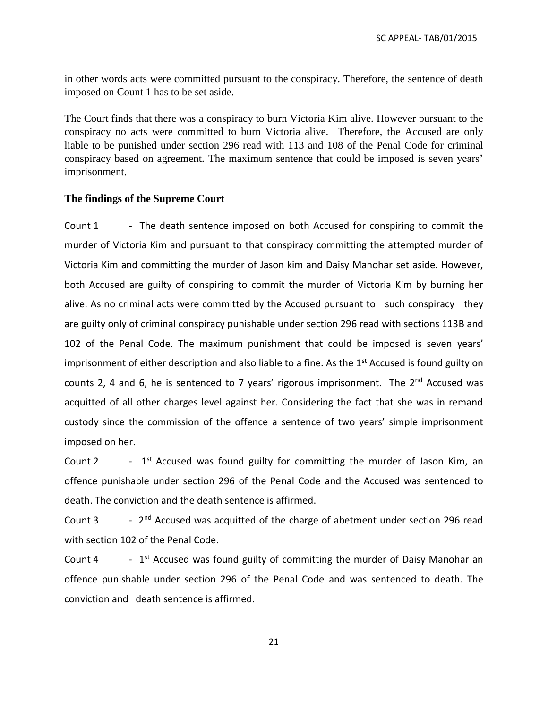in other words acts were committed pursuant to the conspiracy. Therefore, the sentence of death imposed on Count 1 has to be set aside.

The Court finds that there was a conspiracy to burn Victoria Kim alive. However pursuant to the conspiracy no acts were committed to burn Victoria alive. Therefore, the Accused are only liable to be punished under section 296 read with 113 and 108 of the Penal Code for criminal conspiracy based on agreement. The maximum sentence that could be imposed is seven years' imprisonment.

#### **The findings of the Supreme Court**

Count 1 - The death sentence imposed on both Accused for conspiring to commit the murder of Victoria Kim and pursuant to that conspiracy committing the attempted murder of Victoria Kim and committing the murder of Jason kim and Daisy Manohar set aside. However, both Accused are guilty of conspiring to commit the murder of Victoria Kim by burning her alive. As no criminal acts were committed by the Accused pursuant to such conspiracy they are guilty only of criminal conspiracy punishable under section 296 read with sections 113B and 102 of the Penal Code. The maximum punishment that could be imposed is seven years' imprisonment of either description and also liable to a fine. As the  $1<sup>st</sup>$  Accused is found guilty on counts 2, 4 and 6, he is sentenced to 7 years' rigorous imprisonment. The 2<sup>nd</sup> Accused was acquitted of all other charges level against her. Considering the fact that she was in remand custody since the commission of the offence a sentence of two years' simple imprisonment imposed on her.

Count 2 -  $1<sup>st</sup>$  Accused was found guilty for committing the murder of Jason Kim, an offence punishable under section 296 of the Penal Code and the Accused was sentenced to death. The conviction and the death sentence is affirmed.

Count 3 - 2<sup>nd</sup> Accused was acquitted of the charge of abetment under section 296 read with section 102 of the Penal Code.

Count 4 -  $1<sup>st</sup>$  Accused was found guilty of committing the murder of Daisy Manohar an offence punishable under section 296 of the Penal Code and was sentenced to death. The conviction and death sentence is affirmed.

21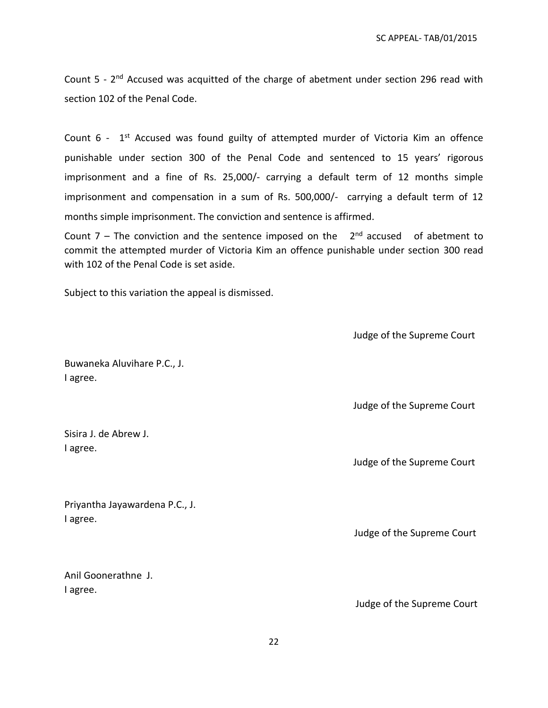Count 5 - 2<sup>nd</sup> Accused was acquitted of the charge of abetment under section 296 read with section 102 of the Penal Code.

Count  $6$  -  $1<sup>st</sup>$  Accused was found guilty of attempted murder of Victoria Kim an offence punishable under section 300 of the Penal Code and sentenced to 15 years' rigorous imprisonment and a fine of Rs. 25,000/- carrying a default term of 12 months simple imprisonment and compensation in a sum of Rs. 500,000/- carrying a default term of 12 months simple imprisonment. The conviction and sentence is affirmed.

Count  $7$  – The conviction and the sentence imposed on the  $2<sup>nd</sup>$  accused of abetment to commit the attempted murder of Victoria Kim an offence punishable under section 300 read with 102 of the Penal Code is set aside.

Subject to this variation the appeal is dismissed.

Judge of the Supreme Court

Buwaneka Aluvihare P.C., J. I agree.

Sisira J. de Abrew J. I agree.

Priyantha Jayawardena P.C., J. I agree.

Anil Goonerathne J. I agree.

Judge of the Supreme Court

Judge of the Supreme Court

Judge of the Supreme Court

Judge of the Supreme Court